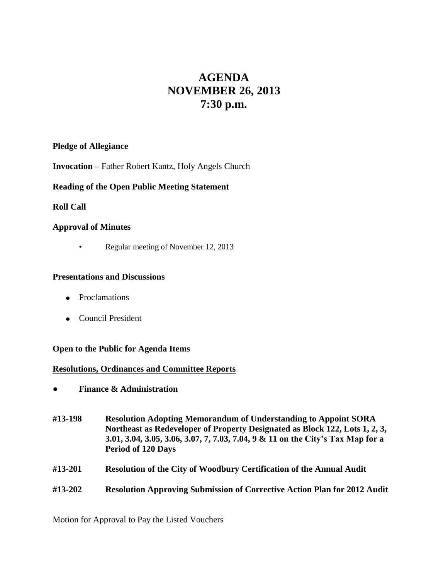# **AGENDA NOVEMBER 26, 2013 7:30 p.m.**

# **Pledge of Allegiance**

**Invocation –** Father Robert Kantz, Holy Angels Church

# **Reading of the Open Public Meeting Statement**

# **Roll Call**

# **Approval of Minutes**

• Regular meeting of November 12, 2013

## **Presentations and Discussions**

- Proclamations
- Council President

## **Open to the Public for Agenda Items**

## **Resolutions, Ordinances and Committee Reports**

- **● Finance & Administration**
- **#13-198 Resolution Adopting Memorandum of Understanding to Appoint SORA Northeast as Redeveloper of Property Designated as Block 122, Lots 1, 2, 3, 3.01, 3.04, 3.05, 3.06, 3.07, 7, 7.03, 7.04, 9 & 11 on the City's Tax Map for a Period of 120 Days**
- **#13-201 Resolution of the City of Woodbury Certification of the Annual Audit**
- **#13-202 Resolution Approving Submission of Corrective Action Plan for 2012 Audit**

Motion for Approval to Pay the Listed Vouchers